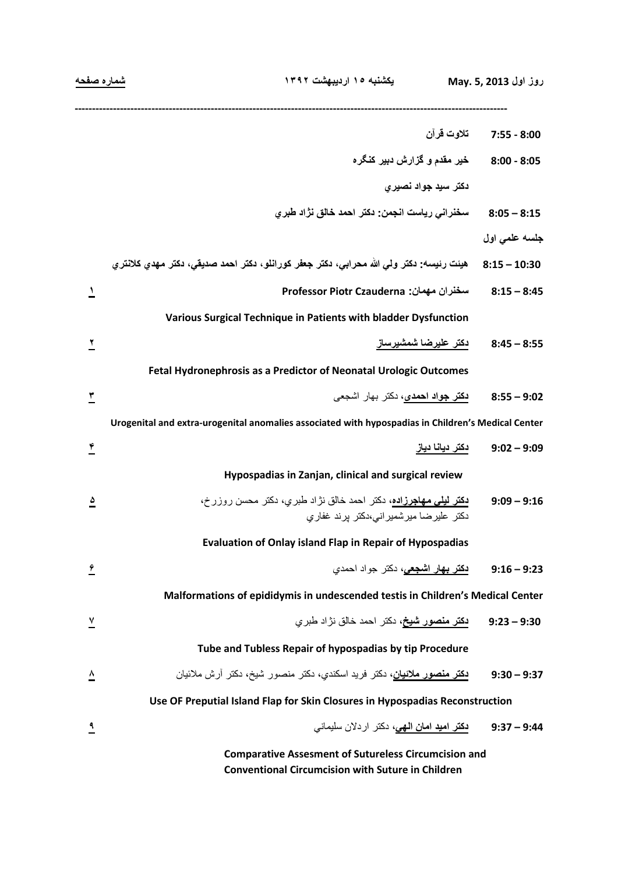| شماره صفحه                                                                   | يكشنبه ١٥ ارديبهشت ١٣٩٢                                                                                            | روز اول May. 5, 2013           |  |
|------------------------------------------------------------------------------|--------------------------------------------------------------------------------------------------------------------|--------------------------------|--|
|                                                                              |                                                                                                                    | 8:00 - 7:55         تلاوت قرآن |  |
|                                                                              | خير مقدم و گزارش دبير كنگره                                                                                        | $8:00 - 8:05$                  |  |
|                                                                              | دکتر سید جواد نصیری                                                                                                |                                |  |
|                                                                              | سخنراني رياست انجمن: دكتر احمد خالق نژاد طبري                                                                      | $8:05 - 8:15$                  |  |
|                                                                              |                                                                                                                    | جلسه علمی اول                  |  |
|                                                                              | هيئت رئيسه: دكتر ولي الله محرابي، دكتر جعفر كورانلو، دكتر احمد صديقي، دكتر مهدي كلانتري                            | $8:15 - 10:30$                 |  |
| $\mathcal{L}$                                                                | سخنران مهمان: Professor Piotr Czauderna                                                                            | $8:15 - 8:45$                  |  |
|                                                                              | Various Surgical Technique in Patients with bladder Dysfunction                                                    |                                |  |
| ۳                                                                            | دكتر عليرضا شمشيرساز                                                                                               | $8:45 - 8:55$                  |  |
|                                                                              | Fetal Hydronephrosis as a Predictor of Neonatal Urologic Outcomes                                                  |                                |  |
| ٣                                                                            | <b>دکتر جواد احمدی،</b> دکتر بهار اشجعی                                                                            | $8:55 - 9:02$                  |  |
|                                                                              | Urogenital and extra-urogenital anomalies associated with hypospadias in Children's Medical Center                 |                                |  |
| $\tilde{\mathbf{r}}$                                                         | دكتر ديانا دياز                                                                                                    | $9:02 - 9:09$                  |  |
|                                                                              | Hypospadias in Zanjan, clinical and surgical review                                                                |                                |  |
| ۵                                                                            | <b>دکتر لیلی مهاجرزاده،</b> دکتر احمد خالق نژاد طبریِ، دکتر محسن روزرخ،<br>دکتر علیرضا میرشمیر انی،دکتر برند غفاری | $9:09 - 9:16$                  |  |
|                                                                              | <b>Evaluation of Onlay island Flap in Repair of Hypospadias</b>                                                    |                                |  |
| $\hat{r}$                                                                    | <mark>دکتر بهار اشجعی</mark> ، دکتر جواد احمدی                                                                     | $9:16 - 9:23$                  |  |
|                                                                              | Malformations of epididymis in undescended testis in Children's Medical Center                                     |                                |  |
| $\overline{A}$                                                               | <b>دکتر منصور شیخ،</b> دکتر احمد خالق نژاد طبری                                                                    | $9:23 - 9:30$                  |  |
|                                                                              | Tube and Tubless Repair of hypospadias by tip Procedure                                                            |                                |  |
| ≙                                                                            | <mark>دكتر منصور ملانيان</mark> ، دكتر فريد اسكندي، دكتر منصور شيخ، دكتر آرش ملائيان                               | $9:30 - 9:37$                  |  |
| Use OF Preputial Island Flap for Skin Closures in Hypospadias Reconstruction |                                                                                                                    |                                |  |
| ٩                                                                            | <mark>دکتر امید امان الهی</mark> ، دکتر اردلان سلیمانی                                                             | $9:37 - 9:44$                  |  |
|                                                                              | <b>Comparative Assesment of Sutureless Circumcision and</b>                                                        |                                |  |

**Conventional Circumcision with Suture in Children**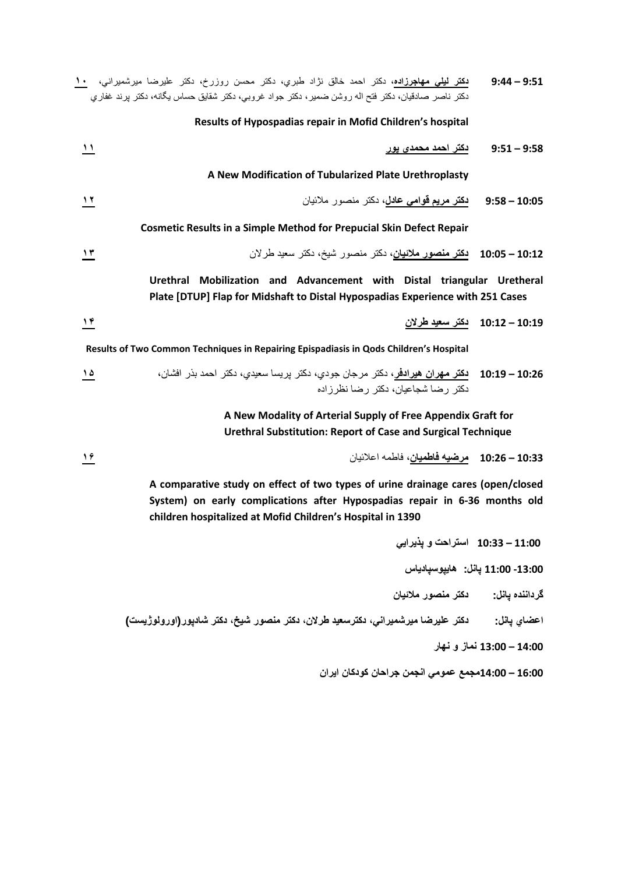| $9:44 - 9:51$                                                                                                                                                                                                               | <mark>دکتر لیلی مهاجرزاده</mark> ، دکتر احمد خالق نژاد طبری، دکتر محسن روزرخ، دکتر علیرضا میرشمیرانی، <u>۱۰</u><br>دکتر ناصر صادقیان، دکتر فتح اله روشن ضمیر، دکتر جواد غروبی، دکتر شقایق حساس یگانه، دکتر پرند غفاری |  |
|-----------------------------------------------------------------------------------------------------------------------------------------------------------------------------------------------------------------------------|-----------------------------------------------------------------------------------------------------------------------------------------------------------------------------------------------------------------------|--|
|                                                                                                                                                                                                                             | Results of Hypospadias repair in Mofid Children's hospital                                                                                                                                                            |  |
| $9:51 - 9:58$                                                                                                                                                                                                               | $\overline{\mathbf{v}}$<br><u>دکتر احمد محمدي پور</u>                                                                                                                                                                 |  |
|                                                                                                                                                                                                                             | A New Modification of Tubularized Plate Urethroplasty                                                                                                                                                                 |  |
| $9:58 - 10:05$                                                                                                                                                                                                              | <b>دكتر مريم قوامي عادل،</b> دكتر منصور ملائيان<br>$\lambda$                                                                                                                                                          |  |
|                                                                                                                                                                                                                             | <b>Cosmetic Results in a Simple Method for Prepucial Skin Defect Repair</b>                                                                                                                                           |  |
| $10:05 - 10:12$                                                                                                                                                                                                             | <mark>دکتر منصور ملائیان</mark> ، دکتر منصور شیخ، دکتر سعید طر لان<br>$\lambda$ ۳                                                                                                                                     |  |
|                                                                                                                                                                                                                             | Urethral Mobilization and Advancement with Distal triangular Uretheral<br>Plate [DTUP] Flap for Midshaft to Distal Hypospadias Experience with 251 Cases                                                              |  |
| 10:12 - 10:12 دكتر سعيد طرلان                                                                                                                                                                                               | $\frac{19}{16}$                                                                                                                                                                                                       |  |
|                                                                                                                                                                                                                             | Results of Two Common Techniques in Repairing Epispadiasis in Qods Children's Hospital                                                                                                                                |  |
|                                                                                                                                                                                                                             | 10:26 – 10:19    دكتر مهران هيرادفر، دكتر مرجان جودي، دكتر پريسا سعيدي، دكتر احمد بذر افشان،<br>۵ ۱<br>دکتر رضا شجاعبان، دکتر رضا نظر زاده                                                                            |  |
|                                                                                                                                                                                                                             | A New Modality of Arterial Supply of Free Appendix Graft for<br><b>Urethral Substitution: Report of Case and Surgical Technique</b>                                                                                   |  |
|                                                                                                                                                                                                                             | 10:33 – 10:26 مرضيه فاطميان، فاطمه اعلائيان<br>۱۶                                                                                                                                                                     |  |
| A comparative study on effect of two types of urine drainage cares (open/closed<br>System) on early complications after Hypospadias repair in 6-36 months old<br>children hospitalized at Mofid Children's Hospital in 1390 |                                                                                                                                                                                                                       |  |
|                                                                                                                                                                                                                             | 10:33 - 10:33 استراحت و يذيرايي                                                                                                                                                                                       |  |
| 11:00 - 13:00 يانل: هاييوسيادياس                                                                                                                                                                                            |                                                                                                                                                                                                                       |  |
|                                                                                                                                                                                                                             | گرداننده يانل:           دكتر منصور ملائيان                                                                                                                                                                           |  |

**اعضاي پانل: دكتر عليرضا ميرشميراني، دكترسعيد طرلان، دكتر منصور شيخ، دكتر شادپور(اورولوژيست)**

**14:00 – 13:00 نماز و نهار**

**16:00 – 14:00مجمع عمومي انجمن جراحان كودكان ايران**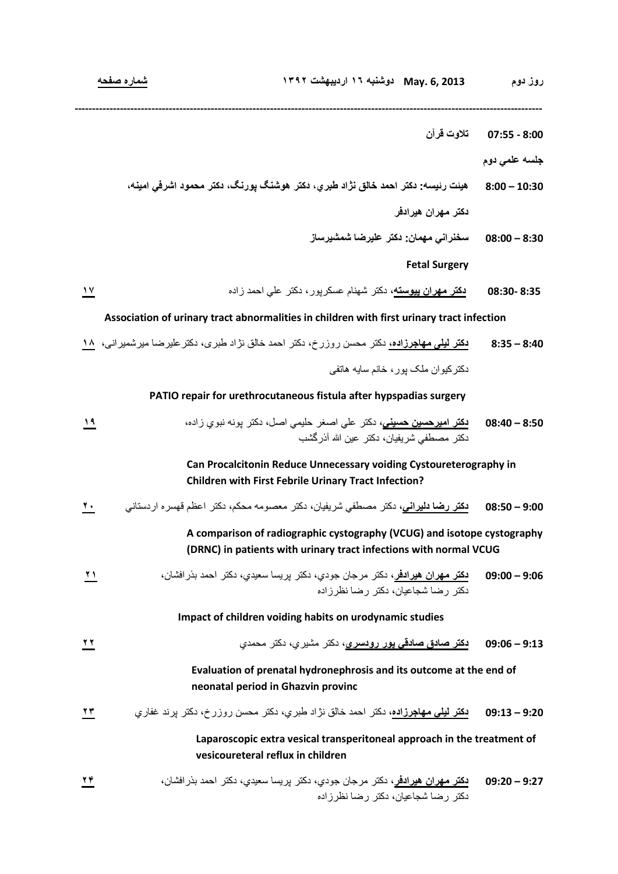- **8:00 07:55 تلاوت قرآن**
	- **جلسه علمي دوم**
- **10:30 8:00 هيئت رئيسه: دكتر احمد خالق نژاد طبري، دكتر هوشنگ پورنگ، دكتر محمود اشرفي امينه، دكتر مهران هيرادفر**
	- **8:30 08:00 سخنراني مهمان: دكتر عليرضا شمشيرساز**

**Fetal Surgery** 

**8:35 08:30- دكتر مهران پيوسته،** دكتر شهنام عسكرپور، دكتر علي احمد زاده **۱۷**

**--------------------------------------------------------------------------------------------------------------------------------------** 

**Association of urinary tract abnormalities in children with first urinary tract infection**

**8:40 – 8:35 دکتر ليلی مهاجرزاده،** دکتر محسن روزرخ، دکتر احمد خالق نژاد طبری، دکترعليرضا ميرشميرانی، **۱۸** دکترکيوان ملک پور، خانم سايه هاتفی

 **PATIO repair for urethrocutaneous fistula after hypspadias surgery** 

| استحقا | 8:50 – 08:40 <mark>دكتر اميرحسين حسيني</mark> ، دكتر  علي اصـغر  حلي <i>مي</i> اصـل، دكتر  پونـه نبوي ز اده، |  |
|--------|--------------------------------------------------------------------------------------------------------------|--|
|        | دكتر مصطفى شريفيان، دكتر عين الله أذرگشب                                                                     |  |

**Can Procalcitonin Reduce Unnecessary voiding Cystoureterography in Children with First Febrile Urinary Tract Infection?**

**9:00 – 08:50 دكتر رضا دليراني،** دكتر مصطفي شريفيان، دكتر معصومه محكم، دكتر اعظم قهسره اردستاني **۲۰**

**A comparison of radiographic cystography (VCUG) and isotope cystography (DRNC) in patients with urinary tract infections with normal VCUG**

**9:06 – 09:00 دكتر مهران هيرادفر،** دكتر مرجان جودي، دكتر پريسا سعيدي، دكتر احمد بذرافشان، **۲۱** دكتر رضا شجاعيان، دكتر رضا نظرزاده

**Impact of children voiding habits on urodynamic studies**

| 22 |  |  |
|----|--|--|
|    |  |  |

**Evaluation of prenatal hydronephrosis and its outcome at the end of neonatal period in Ghazvin provinc**

**9:20 – 09:13 دكتر ليلي مهاجرزاده،** دكتر احمد خالق نژاد طبري، دكتر محسن روزرخ، دكتر پرند غفاري **۲۳**

**Laparoscopic extra vesical transperitoneal approach in the treatment of vesicoureteral reflux in children**

**9:27 – 09:20 دكتر مهران هيرادفر،** دكتر مرجان جودي، دكتر پريسا سعيدي، دكتر احمد بذرافشان، **۲۴** دكتر رضا شجاعيان، دكتر رضا نظرزاده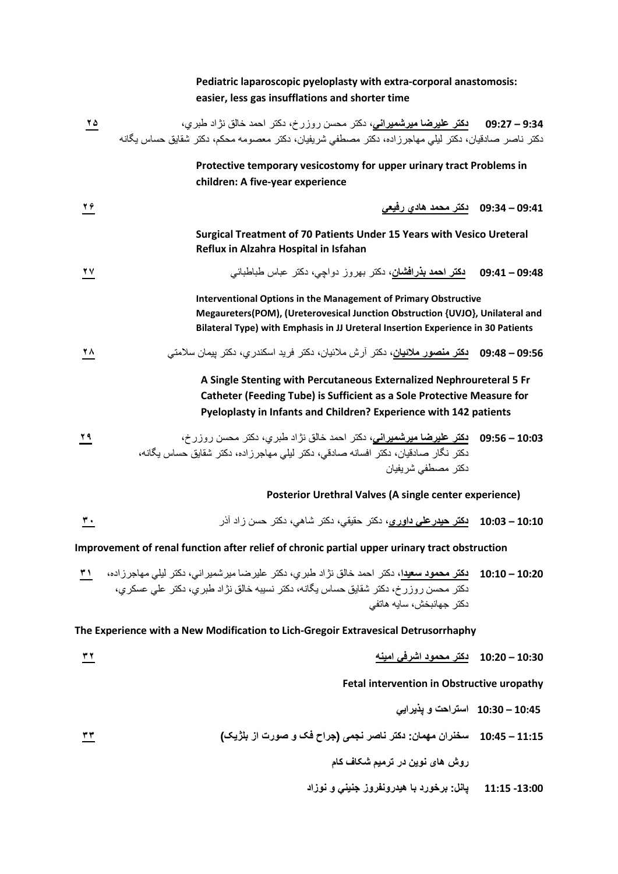## **Pediatric laparoscopic pyeloplasty with extra-corporal anastomosis: easier, less gas insufflations and shorter time**

| $\frac{10}{10}$ | دكتر ناصر صادقيان، دكتر ليلي مهاجرزاده، دكتر مصطفي شريفيان، دكتر معصومه محكم، دكتر شقايق حساس يگانه                                                                                                                                         |               |
|-----------------|---------------------------------------------------------------------------------------------------------------------------------------------------------------------------------------------------------------------------------------------|---------------|
|                 | Protective temporary vesicostomy for upper urinary tract Problems in<br>children: A five-year experience                                                                                                                                    |               |
| 26              | 09:34 – 09:34     دکتر محمد هادي رفيعي                                                                                                                                                                                                      |               |
|                 | Surgical Treatment of 70 Patients Under 15 Years with Vesico Ureteral<br>Reflux in Alzahra Hospital in Isfahan                                                                                                                              |               |
| 27              | <b>دکتر احمد بذرافشان،</b> دکتر بهروز دواجی، دکتر عباس طباطبائے،                                                                                                                                                                            | 09:41 - 09:48 |
|                 | <b>Interventional Options in the Management of Primary Obstructive</b><br>Megaureters(POM), (Ureterovesical Junction Obstruction {UVJO}, Unilateral and<br>Bilateral Type) with Emphasis in JJ Ureteral Insertion Experience in 30 Patients |               |
| 2 Y V           | 09:56 – 09:48    دكتر منصور ملائيان، دكتر آرش ملائيان، دكتر فريد اسكندر ى، دكتر بيمان سلامتى                                                                                                                                                |               |
|                 | A Single Stenting with Percutaneous Externalized Nephroureteral 5 Fr<br>Catheter (Feeding Tube) is Sufficient as a Sole Protective Measure for<br>Pyeloplasty in Infants and Children? Experience with 142 patients                         |               |
| ۲۹              | 09:56 - 05:56 دكتر عليرضا ميرشميراني، دكتر احمد خالق نژاد طبري، دكتر محسن روزرخ،<br>دكتر نگار صادقيان، دكتر افسانه صادقي، دكتر ليلي مهاجرزاده، دكتر شقايق حساس يگانه،<br>دكتر مصطفى شريفيان                                                 |               |
|                 | Posterior Urethral Valves (A single center experience)                                                                                                                                                                                      |               |
| <u>r.</u>       | 10:10 – 10:03     بكتر حيدر على داور ي، دكتر حقيقي، دكتر  شاهي، دكتر  حسن ز اد آذر                                                                                                                                                          |               |
|                 | Improvement of renal function after relief of chronic partial upper urinary tract obstruction                                                                                                                                               |               |
|                 | 10:20 – 10:10 دكتر محمود سعيدا، دكتر احمد خالق نژاد طبري، دكتر عليرضا ميرشميراني، دكتر ليلي مهاجرزاده، ٣١<br>دكتر محسن روزرخ، دكتر شقايق حساس يگانه، دكتر نسيبه خالق نژاد طبري، دكتر على عسكري،<br>دكتر جهانبخش، سايه هاتفي                 |               |
|                 | The Experience with a New Modification to Lich-Gregoir Extravesical Detrusorrhaphy                                                                                                                                                          |               |
| ۳۲              | 10:20 – 10:20     دكتر محمود اشرفى امينه                                                                                                                                                                                                    |               |
|                 | Fetal intervention in Obstructive uropathy                                                                                                                                                                                                  |               |
|                 | 10:45 – 10:30   استراحت و يذيرايي                                                                                                                                                                                                           |               |

**11:15 – 10:45 سخنران مهمان: دکتر ناصر نجمی (جراح فک و صورت از بلژيک) ۳۳**

 **روش های نوين در ترميم شکاف کام**

**-13:00 11:15 پانل: برخورد با هيدرونفروز جنيني و نوزاد**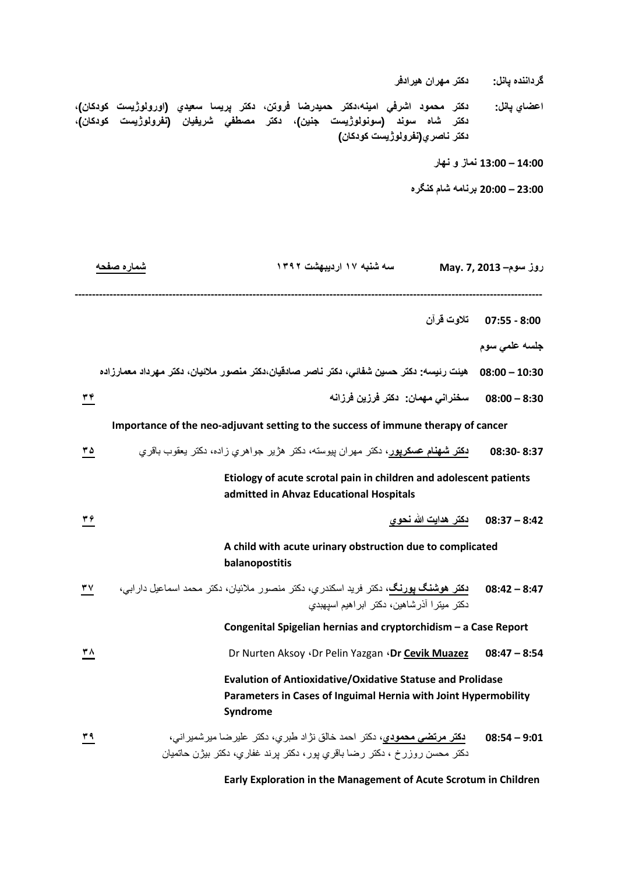**گرداننده پانل: دكتر مهران هيرادفر**

**اعضاي پانل: دكتر محمود اشرفي امينه،دكتر حميدرضا فروتن، دكتر پريسا سعيدي (اورولوژيست كودكان)، دكتر شاه سوند (سونولوژيست جنين)، دكتر مصطفي شريفيان (نفرولوژيست كودكان)، دكتر ناصري(نفرولوژيست كودكان)**

**14:00 – 13:00 نماز و نهار**

**23:00 – 20:00 برنامه شام كنگره**

|    | شماره صفحه<br>سه شنبه ۱۷ اردیبهشت ۱۳۹۲                                                                                                                  | روز سوم– May. 7, 2013   |
|----|---------------------------------------------------------------------------------------------------------------------------------------------------------|-------------------------|
|    |                                                                                                                                                         | 8:00 - 07:55 تلاوت قرآن |
|    |                                                                                                                                                         | جلسه علمي سوم           |
|    | 10:30 – 08:00 ٪ هيئت رئيسه: دكتر حسين شفائي، دكتر ناصر صادقيان،دكتر منصور ملائيان، دكتر مهرداد معمارزاده                                                |                         |
| ۳۴ | سخنراني مهمان- دكتر فرزين فرزانه                                                                                                                        | $08:00 - 8:30$          |
|    | Importance of the neo-adjuvant setting to the success of immune therapy of cancer                                                                       |                         |
| ۲۵ | <b>دکتر شهنام عسکرپور،</b> دکتر مهران پیوسته، دکتر هژیر جواهری زاده، دکتر یعقوب باقری                                                                   | 08:30-8:37              |
|    | Etiology of acute scrotal pain in children and adolescent patients<br>admitted in Ahvaz Educational Hospitals                                           |                         |
| ۳6 |                                                                                                                                                         |                         |
|    | A child with acute urinary obstruction due to complicated<br>balanopostitis                                                                             |                         |
| ۳۷ | <b>دکتر هوشنگ یورنگ،</b> دکتر فرید اسکندری، دکتر منصور ملائیان، دکتر محمد اسماعیل دارابی،<br>دکتر میترا آذرشاهین، دکتر ابراهیم اسیهبدی                  | $08:42 - 8:47$          |
|    | Congenital Spigelian hernias and cryptorchidism - a Case Report                                                                                         |                         |
| ۳۸ | Dr Nurten Aksoy · Dr Pelin Yazgan · Dr Cevik Muazez                                                                                                     | $08:47 - 8:54$          |
|    | <b>Evalution of Antioxidative/Oxidative Statuse and Prolidase</b><br>Parameters in Cases of Inguimal Hernia with Joint Hypermobility<br>Syndrome        |                         |
| ۳۹ | <b>دکتر مرتضی محمودی،</b> دکتر احمد خالق نژاد طبری، دکتر علیرضا میرشمیرانی،<br>دکتر محسن روزرخ ، دکتر رضا باقری پور، دکتر پرند غفاری، دکتر بیژن حاتمیان | $08:54 - 9:01$          |

 **Early Exploration in the Management of Acute Scrotum in Children**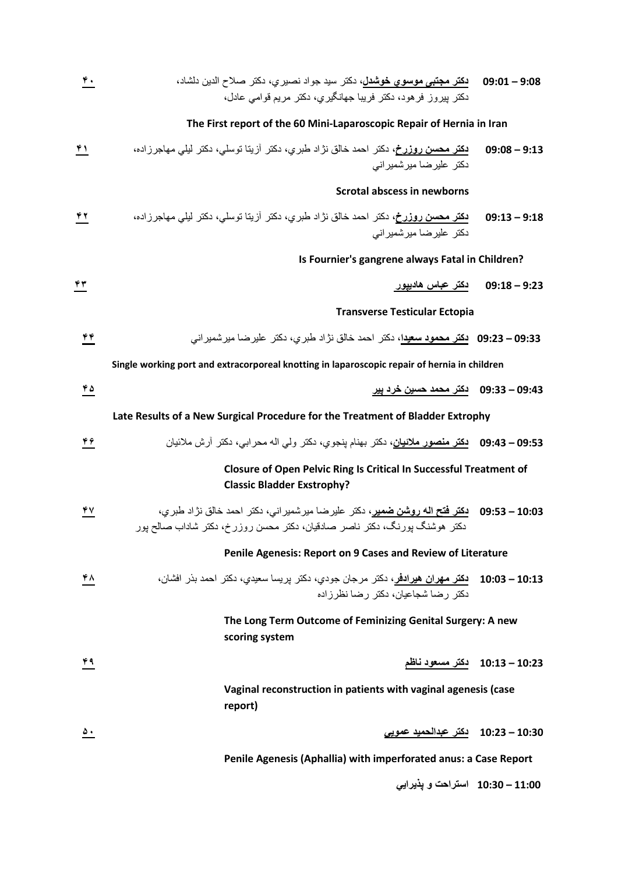| ۴. | <b>دکتر مجتبی موسوی خوشدل،</b> دکتر سید جواد نصبری، دکتر صلاح الدین دلشاد،<br>دکتر بیروز فرهود، دکتر فریبا جهانگیری، دکتر مریع قوامی عادل،                               | $09:01 - 9:08$                |  |
|----|--------------------------------------------------------------------------------------------------------------------------------------------------------------------------|-------------------------------|--|
|    | The First report of the 60 Mini-Laparoscopic Repair of Hernia in Iran                                                                                                    |                               |  |
| ۴۱ | <b>دکتر محسن روزرخ،</b> دکتر احمد خالق نژاد طبری، دکتر آزیتا توسلی، دکتر لیلی مهاجرزاده،<br>دکتر علیر ضا میر شمیر انی                                                    | $09:08 - 9:13$                |  |
|    | Scrotal abscess in newborns                                                                                                                                              |                               |  |
| ۴۲ | <b>دکتر محسن روزرخ،</b> دکتر احمد خالق نژاد طبری، دکتر آزیتا توسلی، دکتر لیلی مهاجرزاده،<br>دکتر علیر ضا میرشمیر انی                                                     | $09:13 - 9:18$                |  |
|    | Is Fournier's gangrene always Fatal in Children?                                                                                                                         |                               |  |
| ۴۳ | دکتر عباس هادييور                                                                                                                                                        | $09:18 - 9:23$                |  |
|    | <b>Transverse Testicular Ectopia</b>                                                                                                                                     |                               |  |
| ۴۴ | 09:33 – 09:23   بكثر محمود سعيدا، دكتر احمد خالق نژاد طبري، دكتر علير ضا مير شمير انے,                                                                                   |                               |  |
|    | Single working port and extracorporeal knotting in laparoscopic repair of hernia in children                                                                             |                               |  |
| ۲۵ | 09:43 – 09:33    دكتر محمد حسين خرد پير                                                                                                                                  |                               |  |
|    | Late Results of a New Surgical Procedure for the Treatment of Bladder Extrophy                                                                                           |                               |  |
| ۴۶ | 09:53 – 09:43    دكتر منصور ملائيان، دكتر بهنام ينجوي، دكتر ولي اله محرابي، دكتر أرش ملائيان                                                                             |                               |  |
|    | <b>Closure of Open Pelvic Ring Is Critical In Successful Treatment of</b><br><b>Classic Bladder Exstrophy?</b>                                                           |                               |  |
| 47 | 09:53 – 09:53    دكتر فتح اله روشن ضمير، دكتر عليرضا ميرشمير اني، دكتر احمد خالق نژاد طبري،<br>دکتر هوشنگ پورنگ، دکتر ناصر صادقیان، دکتر محسن روزرخ، دکتر شاداب صالح پور |                               |  |
|    | Penile Agenesis: Report on 9 Cases and Review of Literature                                                                                                              |                               |  |
| ۴۸ | 10:13 – 10:03 <mark>نكثر مهران هيرادفر</mark> ، دكثر مرجان جودي، دكثر پريسا سعيدي، دكثر احمد بذر افشان،<br>دکتر رضا شجاعیان، دکتر رضا نظرز اده                           |                               |  |
|    | The Long Term Outcome of Feminizing Genital Surgery: A new<br>scoring system                                                                                             |                               |  |
| ۴۹ |                                                                                                                                                                          | 10:13 - 10:13 دكتر مسعود ناظم |  |
|    | Vaginal reconstruction in patients with vaginal agenesis (case<br>report)                                                                                                |                               |  |
| ٥. | 10:30 – 10:23٪ دكتر عبدالحميد عمويي                                                                                                                                      |                               |  |
|    | Penile Agenesis (Aphallia) with imperforated anus: a Case Report                                                                                                         |                               |  |

 **11:00 – 10:30 استراحت و پذيرايي**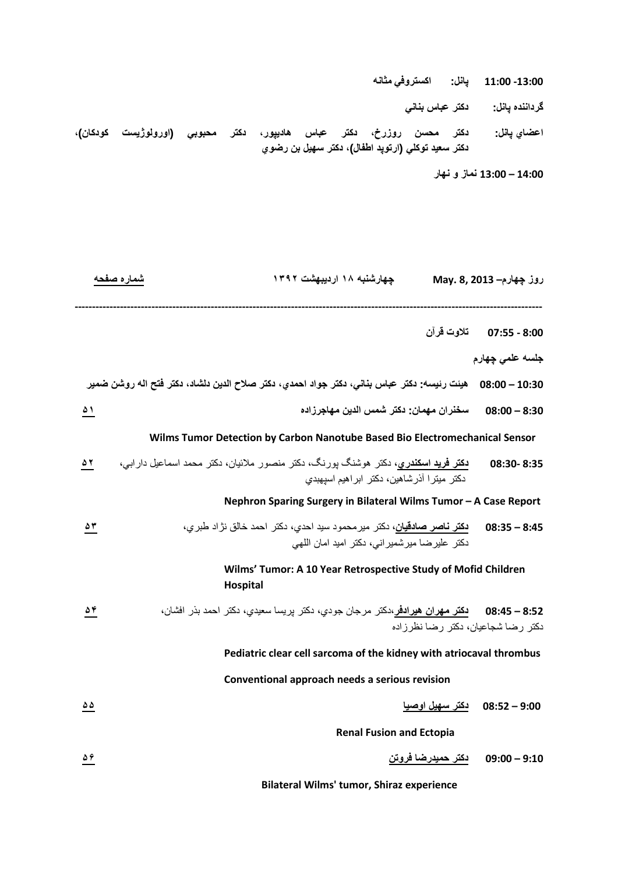**-13:00 11:00 پانل: اكستروفي مثانه**

**گرداننده پانل: دكتر عباس بناني**

**اعضاي پانل: دكتر محسن روزرخ، دكتر عباس هاديپور، دكتر محبوبي (اورولوژيست كودكان)، دكتر سعيد توكلي (ارتوپد اطفال)، دكتر سهيل بن رضوي**

**14:00 – 13:00 نماز و نهار**

**روز چهارم– 2013 8, .May چهارشنبه ۱۸ ارديبهشت ۱۳۹۲ شماره صفحه -------------------------------------------------------------------------------------------------------------------------------------- 8:00 - 07:55 تلاوت قرآن جلسه علمي چهارم 10:30 – 08:00 هيئت رئيسه: دكتر عباس بناني، دكتر جواد احمدي، دكتر صلاح الدين دلشاد، دكتر فتح اله روشن ضمير 8:30 – 08:00 سخنران مهمان: دكتر شمس الدين مهاجرزاده ۵۱ Wilms Tumor Detection by Carbon Nanotube Based Bio Electromechanical Sensor 8:35 08:30- دكتر فريد اسكندري،** دكتر هوشنگ پورنگ، دكتر منصور ملائيان، دكتر محمد اسماعيل دارابي، **۵۲** دكتر ميترا آذرشاهين، دكتر ابراهيم اسپهبدي  **Nephron Sparing Surgery in Bilateral Wilms Tumor – A Case Report 8:45 – 08:35 دكتر ناصر صادقيان،** دكتر ميرمحمود سيد احدي، دكتر احمد خالق نژاد طبري، **۵۳** دكتر عليرضا ميرشميراني، دكتر اميد امان اللهي **Wilms' Tumor: A 10 Year Retrospective Study of Mofid Children Hospital 8:52 – 08:45 دكتر مهران هيرادفر،**دكتر مرجان جودي، دكتر پريسا سعيدي، دكتر احمد بذر افشان، **۵۴** دكتر رضا شجاعيان، دكتر رضا نظرزاده  **Pediatric clear cell sarcoma of the kidney with atriocaval thrombus Conventional approach needs a serious revision 9:00 – 08:52 دكتر سهيل اوصيا ۵۵ Renal Fusion and Ectopia 9:10 – 09:00 دكتر حميدرضا فروتن ۵۶**

 **Bilateral Wilms' tumor, Shiraz experience**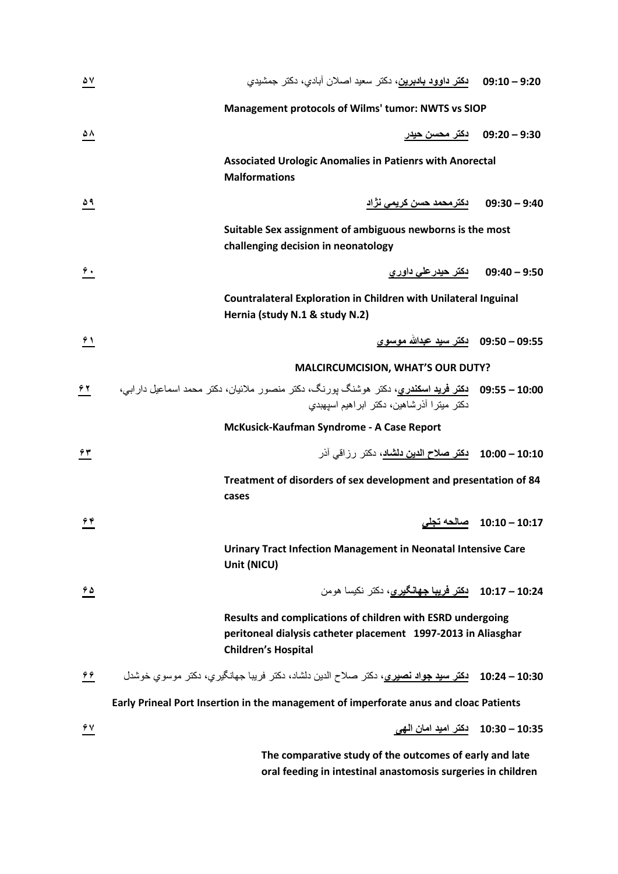| $\frac{\Delta V}{\Delta}$ | 9:20 – 09:10 نكتر داوود بادبرين، دكتر سعيد اصلان أبادي، دكتر جمشيدي                                                                                       |                           |
|---------------------------|-----------------------------------------------------------------------------------------------------------------------------------------------------------|---------------------------|
|                           | Management protocols of Wilms' tumor: NWTS vs SIOP                                                                                                        |                           |
| ۵۸                        | <u>دکتر محسن حیدر</u>                                                                                                                                     | $09:20 - 9:30$            |
|                           | <b>Associated Urologic Anomalies in Patienrs with Anorectal</b><br><b>Malformations</b>                                                                   |                           |
| $\frac{\Delta q}{\Box}$   | <u>دکترمحمد حسن کریمی نژاد</u>                                                                                                                            | $09:30 - 9:40$            |
|                           | Suitable Sex assignment of ambiguous newborns is the most<br>challenging decision in neonatology                                                          |                           |
| $\hat{\mathbf{r}}$ .      | 9:50 – 9:40         دکتر حيدر على داور ي                                                                                                                  |                           |
|                           | <b>Countralateral Exploration in Children with Unilateral Inguinal</b><br>Hernia (study N.1 & study N.2)                                                  |                           |
| 91                        | 09:50 – 09:50    دكتر سيد عبدالله موسوي                                                                                                                   |                           |
|                           | <b>MALCIRCUMCISION, WHAT'S OUR DUTY?</b>                                                                                                                  |                           |
| ۶۲                        | 09: <b>50 – 09:55    دکتر فرید اسکندری،</b> دکتر هوشنگ پورنگ، دکتر منصور ملائیان، دکتر محمد اسماعیل دارابی،<br>دکتر میتر ا آذرشاهین، دکتر ابراهیم اسیهبدی |                           |
|                           | McKusick-Kaufman Syndrome - A Case Report                                                                                                                 |                           |
| $\hat{\tau}$ ۳            | 10:00 – 10:00    دكتر صلاح الدين دلشاد، دكتر رزاقي آذر                                                                                                    |                           |
|                           | Treatment of disorders of sex development and presentation of 84<br>cases                                                                                 |                           |
| 44                        |                                                                                                                                                           | 10:10 – 10:10٪ صالحه تجلى |
|                           | <b>Urinary Tract Infection Management in Neonatal Intensive Care</b><br>Unit (NICU)                                                                       |                           |
| 45                        | 10:17 - 10:17 دكتر فريبا جهانگيري، دكتر نكيسا هومن                                                                                                        |                           |
|                           | Results and complications of children with ESRD undergoing<br>peritoneal dialysis catheter placement 1997-2013 in Aliasghar<br><b>Children's Hospital</b> |                           |
| $\frac{66}{10}$           | 10:30 – 10:24 <mark>دكتر سيد جواد نصيري</mark> ، دكتر صلاح الدين دلشاد، دكتر فريبا جهانگيري، دكتر موسوي خوشدل                                             |                           |
|                           | Early Prineal Port Insertion in the management of imperforate anus and cloac Patients                                                                     |                           |
| 47                        |                                                                                                                                                           |                           |
|                           | The comparative study of the outcomes of early and late<br>oral feeding in intestinal anastomosis surgeries in children                                   |                           |